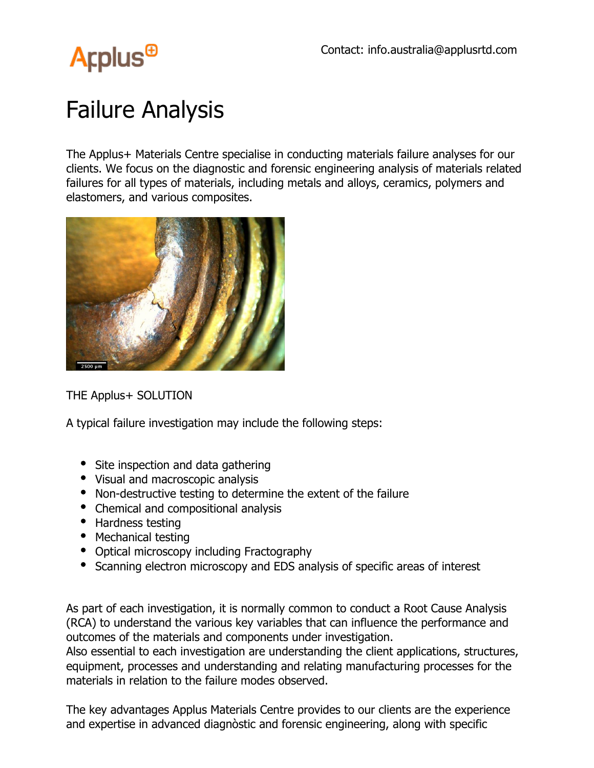

## Failure Analysis

The Applus+ Materials Centre specialise in conducting materials failure analyses for our clients. We focus on the diagnostic and forensic engineering analysis of materials related failures for all types of materials, including metals and alloys, ceramics, polymers and elastomers, and various composites.



THE Applus+ SOLUTION

A typical failure investigation may include the following steps:

- Site inspection and data gathering
- Visual and macroscopic analysis
- Non-destructive testing to determine the extent of the failure
- Chemical and compositional analysis
- Hardness testing
- Mechanical testing
- Optical microscopy including Fractography
- Scanning electron microscopy and EDS analysis of specific areas of interest

As part of each investigation, it is normally common to conduct a Root Cause Analysis (RCA) to understand the various key variables that can influence the performance and outcomes of the materials and components under investigation.

Also essential to each investigation are understanding the client applications, structures, equipment, processes and understanding and relating manufacturing processes for the materials in relation to the failure modes observed.

The key advantages Applus Materials Centre provides to our clients are the experience and expertise in advanced diagnòstic and forensic engineering, along with specific